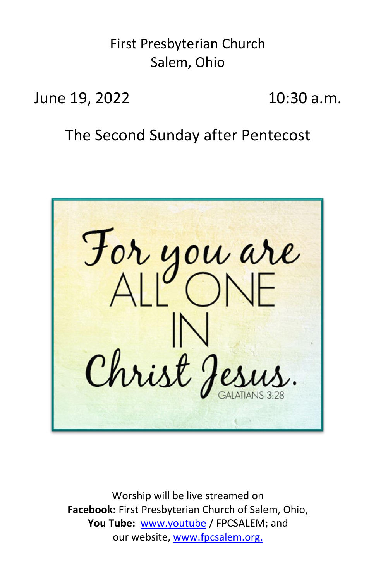First Presbyterian Church Salem, Ohio

June 19, 2022 10:30 a.m.

The Second Sunday after Pentecost

For you are Christ J

Worship will be live streamed on **Facebook:** First Presbyterian Church of Salem, Ohio, **You Tube:** [www.youtube](http://www.youtube/) / FPCSALEM; and our website, [www.fpcsalem.org.](http://www.fpcsalem.org/)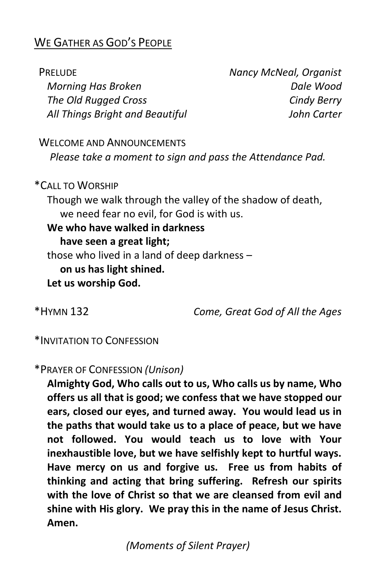## WE GATHER AS GOD'S PEOPLE

 PRELUDE *Nancy McNeal, Organist Morning Has Broken Dale Wood The Old Rugged Cross Cindy Berry All Things Bright and Beautiful John Carter* WELCOME AND ANNOUNCEMENTS *Please take a moment to sign and pass the Attendance Pad.*

\*CALL TO WORSHIP Though we walk through the valley of the shadow of death, we need fear no evil, for God is with us. **We who have walked in darkness have seen a great light;** those who lived in a land of deep darkness – **on us has light shined. Let us worship God.**

\*HYMN 132 *Come, Great God of All the Ages*

\*INVITATION TO CONFESSION

\*PRAYER OF CONFESSION *(Unison)*

**Almighty God, Who calls out to us, Who calls us by name, Who offers us all that is good; we confess that we have stopped our ears, closed our eyes, and turned away. You would lead us in the paths that would take us to a place of peace, but we have not followed. You would teach us to love with Your inexhaustible love, but we have selfishly kept to hurtful ways. Have mercy on us and forgive us. Free us from habits of thinking and acting that bring suffering. Refresh our spirits with the love of Christ so that we are cleansed from evil and shine with His glory. We pray this in the name of Jesus Christ. Amen.**

*(Moments of Silent Prayer)*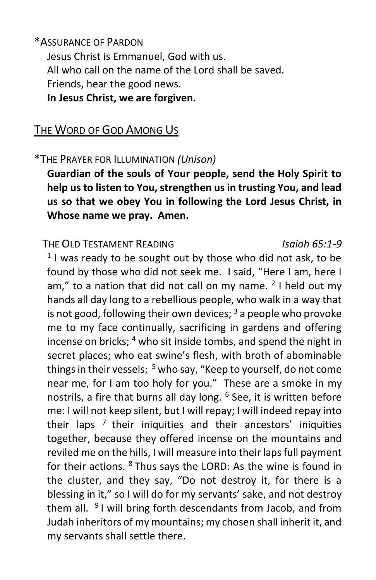\*ASSURANCE OF PARDON

Jesus Christ is Emmanuel, God with us. All who call on the name of the Lord shall be saved. Friends, hear the good news. **In Jesus Christ, we are forgiven.**

#### THE WORD OF GOD AMONG US

#### \*THE PRAYER FOR ILLUMINATION *(Unison)*

**Guardian of the souls of Your people, send the Holy Spirit to help us to listen to You, strengthen us in trusting You, and lead us so that we obey You in following the Lord Jesus Christ, in Whose name we pray. Amen.**

#### THE OLD TESTAMENT READING *Isaiah 65:1-9*

 $1$  I was ready to be sought out by those who did not ask, to be found by those who did not seek me. I said, "Here I am, here I am," to a nation that did not call on my name.  $2$  I held out my hands all day long to a rebellious people, who walk in a way that is not good, following their own devices;  $3$  a people who provoke me to my face continually, sacrificing in gardens and offering incense on bricks; <sup>4</sup> who sit inside tombs, and spend the night in secret places; who eat swine's flesh, with broth of abominable things in their vessels;  $5$  who say, "Keep to yourself, do not come near me, for I am too holy for you." These are a smoke in my nostrils, a fire that burns all day long. <sup>6</sup> See, it is written before me: I will not keep silent, but I will repay; I will indeed repay into their laps  $<sup>7</sup>$  their iniquities and their ancestors' iniquities</sup> together, because they offered incense on the mountains and reviled me on the hills, I will measure into their laps full payment for their actions. <sup>8</sup> Thus says the LORD: As the wine is found in the cluster, and they say, "Do not destroy it, for there is a blessing in it," so I will do for my servants' sake, and not destroy them all. <sup>9</sup>I will bring forth descendants from Jacob, and from Judah inheritors of my mountains; my chosen shall inherit it, and my servants shall settle there.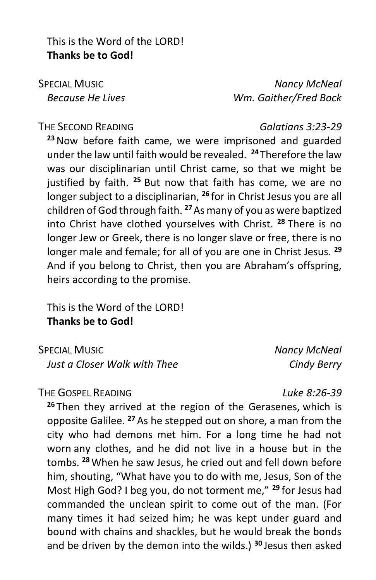This is the Word of the LORD! **Thanks be to God!**

 SPECIAL MUSIC *Nancy McNeal Because He Lives Wm. Gaither/Fred Bock*

#### THE SECOND READING *Galatians 3:23-29*

**<sup>23</sup>**Now before faith came, we were imprisoned and guarded under the law until faith would be revealed. **<sup>24</sup>** Therefore the law was our disciplinarian until Christ came, so that we might be justified by faith. **<sup>25</sup>** But now that faith has come, we are no longer subject to a disciplinarian, **<sup>26</sup>** for in Christ Jesus you are all children of God through faith. **<sup>27</sup>**As many of you as were baptized into Christ have clothed yourselves with Christ. **<sup>28</sup>** There is no longer Jew or Greek, there is no longer slave or free, there is no longer male and female; for all of you are one in Christ Jesus. **<sup>29</sup>** And if you belong to Christ, then you are Abraham's offspring, heirs according to the promise.

This is the Word of the LORD! **Thanks be to God!**

 SPECIAL MUSIC *Nancy McNeal Just a Closer Walk with Thee Cindy Berry*

THE GOSPEL READING *Luke 8:26-39*

**<sup>26</sup>** Then they arrived at the region of the Gerasenes, which is opposite Galilee. **<sup>27</sup>** As he stepped out on shore, a man from the city who had demons met him. For a long time he had not worn any clothes, and he did not live in a house but in the tombs. **<sup>28</sup>** When he saw Jesus, he cried out and fell down before him, shouting, "What have you to do with me, Jesus, Son of the Most High God? I beg you, do not torment me," **<sup>29</sup>** for Jesus had commanded the unclean spirit to come out of the man. (For many times it had seized him; he was kept under guard and bound with chains and shackles, but he would break the bonds and be driven by the demon into the wilds.) **<sup>30</sup>** Jesus then asked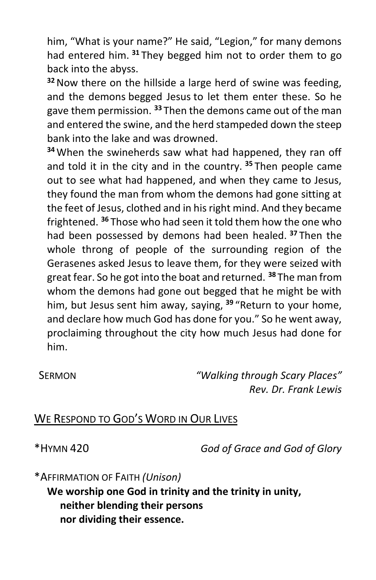him, "What is your name?" He said, "Legion," for many demons had entered him. **<sup>31</sup>** They begged him not to order them to go back into the abyss.

**<sup>32</sup>**Now there on the hillside a large herd of swine was feeding, and the demons begged Jesus to let them enter these. So he gave them permission. **<sup>33</sup>** Then the demons came out of the man and entered the swine, and the herd stampeded down the steep bank into the lake and was drowned.

**<sup>34</sup>** When the swineherds saw what had happened, they ran off and told it in the city and in the country. **<sup>35</sup>** Then people came out to see what had happened, and when they came to Jesus, they found the man from whom the demons had gone sitting at the feet of Jesus, clothed and in his right mind. And they became frightened. **<sup>36</sup>** Those who had seen it told them how the one who had been possessed by demons had been healed. **<sup>37</sup>** Then the whole throng of people of the surrounding region of the Gerasenes asked Jesus to leave them, for they were seized with great fear. So he got into the boat and returned. **<sup>38</sup>** The man from whom the demons had gone out begged that he might be with him, but Jesus sent him away, saying, **<sup>39</sup>** "Return to your home, and declare how much God has done for you." So he went away, proclaiming throughout the city how much Jesus had done for him.

 SERMON *"Walking through Scary Places" Rev. Dr. Frank Lewis*

## WE RESPOND TO GOD'S WORD IN OUR LIVES

\*HYMN 420 *God of Grace and God of Glory*

\*AFFIRMATION OF FAITH *(Unison)*

**We worship one God in trinity and the trinity in unity, neither blending their persons nor dividing their essence.**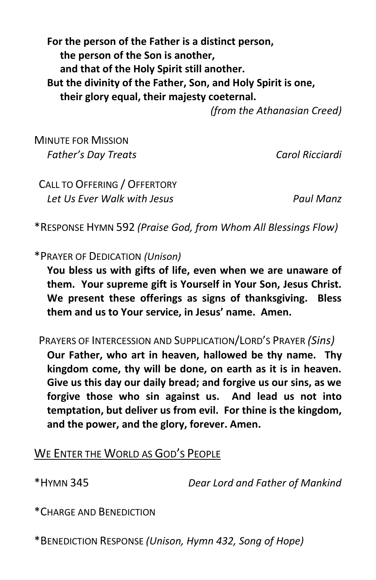**For the person of the Father is a distinct person, the person of the Son is another, and that of the Holy Spirit still another. But the divinity of the Father, Son, and Holy Spirit is one, their glory equal, their majesty coeternal.**

*(from the Athanasian Creed)*

MINUTE FOR MISSION *Father's Day Treats Carol Ricciardi*

 CALL TO OFFERING / OFFERTORY *Let Us Ever Walk with Jesus Paul Manz*

\*RESPONSE HYMN 592 *(Praise God, from Whom All Blessings Flow)*

\*PRAYER OF DEDICATION *(Unison)*

**You bless us with gifts of life, even when we are unaware of them. Your supreme gift is Yourself in Your Son, Jesus Christ. We present these offerings as signs of thanksgiving. Bless them and us to Your service, in Jesus' name. Amen.**

 PRAYERS OF INTERCESSION AND SUPPLICATION/LORD'S PRAYER *(Sins)*  **Our Father, who art in heaven, hallowed be thy name. Thy kingdom come, thy will be done, on earth as it is in heaven. Give us this day our daily bread; and forgive us our sins, as we forgive those who sin against us. And lead us not into temptation, but deliver us from evil. For thine is the kingdom, and the power, and the glory, forever. Amen.**

### WE ENTER THE WORLD AS GOD'S PEOPLE

\*HYMN 345 *Dear Lord and Father of Mankind*

\*CHARGE AND BENEDICTION

\*BENEDICTION RESPONSE *(Unison, Hymn 432, Song of Hope)*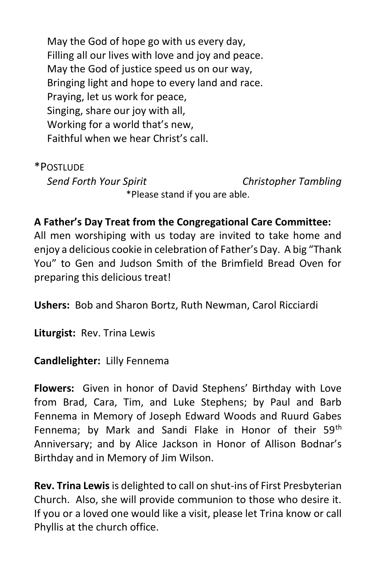May the God of hope go with us every day, Filling all our lives with love and joy and peace. May the God of justice speed us on our way, Bringing light and hope to every land and race. Praying, let us work for peace, Singing, share our joy with all, Working for a world that's new, Faithful when we hear Christ's call.

\*POSTLUDE

*Send Forth Your Spirit Christopher Tambling*

\*Please stand if you are able.

#### **A Father's Day Treat from the Congregational Care Committee:**

All men worshiping with us today are invited to take home and enjoy a delicious cookie in celebration of Father's Day. A big "Thank You" to Gen and Judson Smith of the Brimfield Bread Oven for preparing this delicious treat!

**Ushers:** Bob and Sharon Bortz, Ruth Newman, Carol Ricciardi

**Liturgist:** Rev. Trina Lewis

#### **Candlelighter:** Lilly Fennema

**Flowers:** Given in honor of David Stephens' Birthday with Love from Brad, Cara, Tim, and Luke Stephens; by Paul and Barb Fennema in Memory of Joseph Edward Woods and Ruurd Gabes Fennema; by Mark and Sandi Flake in Honor of their 59th Anniversary; and by Alice Jackson in Honor of Allison Bodnar's Birthday and in Memory of Jim Wilson.

**Rev. Trina Lewis** is delighted to call on shut-ins of First Presbyterian Church. Also, she will provide communion to those who desire it. If you or a loved one would like a visit, please let Trina know or call Phyllis at the church office.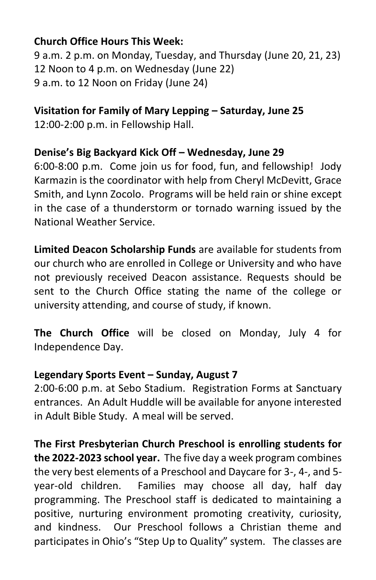#### **Church Office Hours This Week:**

9 a.m. 2 p.m. on Monday, Tuesday, and Thursday (June 20, 21, 23) 12 Noon to 4 p.m. on Wednesday (June 22) 9 a.m. to 12 Noon on Friday (June 24)

### **Visitation for Family of Mary Lepping – Saturday, June 25**

12:00-2:00 p.m. in Fellowship Hall.

#### **Denise's Big Backyard Kick Off – Wednesday, June 29**

6:00-8:00 p.m. Come join us for food, fun, and fellowship! Jody Karmazin is the coordinator with help from Cheryl McDevitt, Grace Smith, and Lynn Zocolo. Programs will be held rain or shine except in the case of a thunderstorm or tornado warning issued by the National Weather Service.

**Limited Deacon Scholarship Funds** are available for students from our church who are enrolled in College or University and who have not previously received Deacon assistance. Requests should be sent to the Church Office stating the name of the college or university attending, and course of study, if known.

**The Church Office** will be closed on Monday, July 4 for Independence Day.

### **Legendary Sports Event – Sunday, August 7**

2:00-6:00 p.m. at Sebo Stadium. Registration Forms at Sanctuary entrances. An Adult Huddle will be available for anyone interested in Adult Bible Study. A meal will be served.

**The First Presbyterian Church Preschool is enrolling students for the 2022-2023 school year.** The five day a week program combines the very best elements of a Preschool and Daycare for 3-, 4-, and 5 year-old children. Families may choose all day, half day programming. The Preschool staff is dedicated to maintaining a positive, nurturing environment promoting creativity, curiosity, and kindness. Our Preschool follows a Christian theme and participates in Ohio's "Step Up to Quality" system. The classes are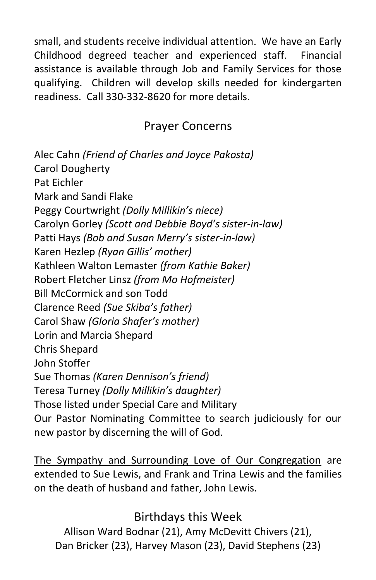small, and students receive individual attention. We have an Early Childhood degreed teacher and experienced staff. Financial assistance is available through Job and Family Services for those qualifying. Children will develop skills needed for kindergarten readiness. Call 330-332-8620 for more details.

## Prayer Concerns

Alec Cahn *(Friend of Charles and Joyce Pakosta)* Carol Dougherty Pat Eichler Mark and Sandi Flake Peggy Courtwright *(Dolly Millikin's niece)* Carolyn Gorley *(Scott and Debbie Boyd's sister-in-law)* Patti Hays *(Bob and Susan Merry's sister-in-law)* Karen Hezlep *(Ryan Gillis' mother)* Kathleen Walton Lemaster *(from Kathie Baker)* Robert Fletcher Linsz *(from Mo Hofmeister)* Bill McCormick and son Todd Clarence Reed *(Sue Skiba's father)* Carol Shaw *(Gloria Shafer's mother)* Lorin and Marcia Shepard Chris Shepard John Stoffer Sue Thomas *(Karen Dennison's friend)* Teresa Turney *(Dolly Millikin's daughter)* Those listed under Special Care and Military Our Pastor Nominating Committee to search judiciously for our new pastor by discerning the will of God.

The Sympathy and Surrounding Love of Our Congregation are extended to Sue Lewis, and Frank and Trina Lewis and the families on the death of husband and father, John Lewis.

Birthdays this Week

Allison Ward Bodnar (21), Amy McDevitt Chivers (21), Dan Bricker (23), Harvey Mason (23), David Stephens (23)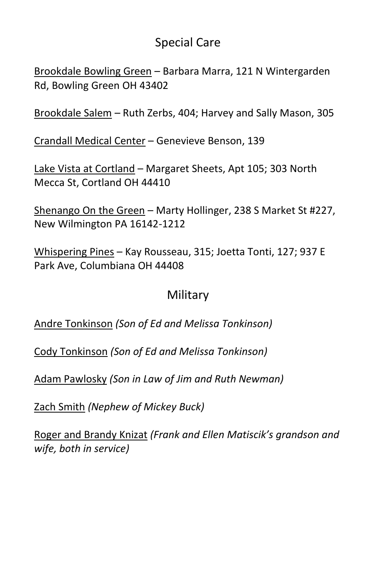## Special Care

Brookdale Bowling Green – Barbara Marra, 121 N Wintergarden Rd, Bowling Green OH 43402

Brookdale Salem – Ruth Zerbs, 404; Harvey and Sally Mason, 305

Crandall Medical Center – Genevieve Benson, 139

Lake Vista at Cortland – Margaret Sheets, Apt 105; 303 North Mecca St, Cortland OH 44410

Shenango On the Green – Marty Hollinger, 238 S Market St #227, New Wilmington PA 16142-1212

Whispering Pines – Kay Rousseau, 315; Joetta Tonti, 127; 937 E Park Ave, Columbiana OH 44408

## Military

Andre Tonkinson *(Son of Ed and Melissa Tonkinson)*

Cody Tonkinson *(Son of Ed and Melissa Tonkinson)*

Adam Pawlosky *(Son in Law of Jim and Ruth Newman)*

Zach Smith *(Nephew of Mickey Buck)*

Roger and Brandy Knizat *(Frank and Ellen Matiscik's grandson and wife, both in service)*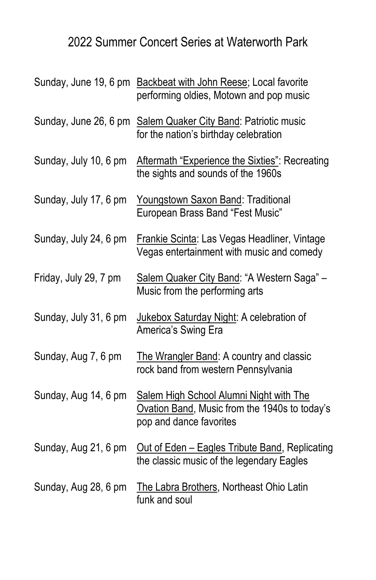# 2022 Summer Concert Series at Waterworth Park

|                       | Sunday, June 19, 6 pm Backbeat with John Reese; Local favorite<br>performing oldies, Motown and pop music           |
|-----------------------|---------------------------------------------------------------------------------------------------------------------|
| Sunday, June 26, 6 pm | Salem Quaker City Band: Patriotic music<br>for the nation's birthday celebration                                    |
| Sunday, July 10, 6 pm | Aftermath "Experience the Sixties": Recreating<br>the sights and sounds of the 1960s                                |
| Sunday, July 17, 6 pm | Youngstown Saxon Band: Traditional<br>European Brass Band "Fest Music"                                              |
| Sunday, July 24, 6 pm | Frankie Scinta: Las Vegas Headliner, Vintage<br>Vegas entertainment with music and comedy                           |
| Friday, July 29, 7 pm | Salem Quaker City Band: "A Western Saga" -<br>Music from the performing arts                                        |
| Sunday, July 31, 6 pm | Jukebox Saturday Night: A celebration of<br>America's Swing Era                                                     |
| Sunday, Aug 7, 6 pm   | The Wrangler Band: A country and classic<br>rock band from western Pennsylvania                                     |
| Sunday, Aug 14, 6 pm  | Salem High School Alumni Night with The<br>Ovation Band, Music from the 1940s to today's<br>pop and dance favorites |
| Sunday, Aug 21, 6 pm  | Out of Eden - Eagles Tribute Band, Replicating<br>the classic music of the legendary Eagles                         |
| Sunday, Aug 28, 6 pm  | The Labra Brothers, Northeast Ohio Latin<br>funk and soul                                                           |